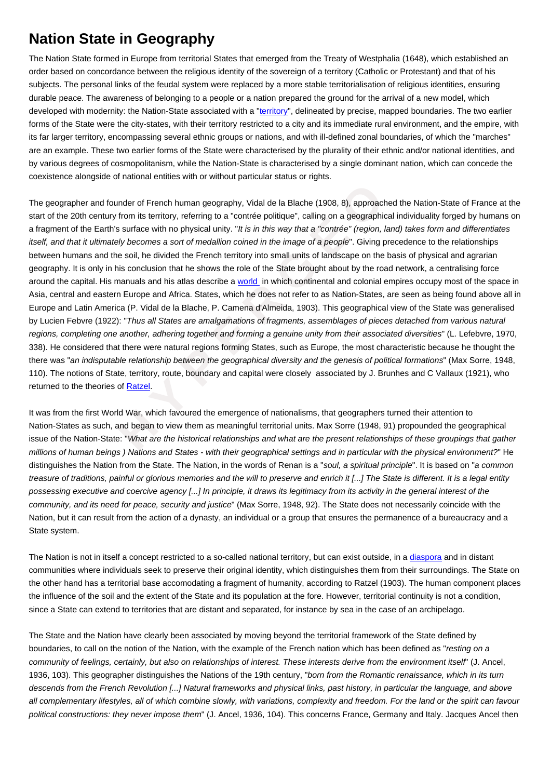## **Nation State in Geography**

The Nation State formed in Europe from territorial States that emerged from the Treaty of Westphalia (1648), which established an order based on concordance between the religious identity of the sovereign of a territory (Catholic or Protestant) and that of his subjects. The personal links of the feudal system were replaced by a more stable territorialisation of religious identities, ensuring durable peace. The awareness of belonging to a people or a nation prepared the ground for the arrival of a new model, which developed with modernity: the Nation-State associated with a "territory", delineated by precise, mapped boundaries. The two earlier forms of the State were the city-states, with their territory restricted to a city and its immediate rural environment, and the empire, with its far larger territory, encompassing several ethnic groups or nations, and with ill-defined zonal boundaries, of which the "marches" are an example. These two earlier forms of the State were characterised by the plurality of their ethnic and/or national identities, and by various degrees of cosmopolitanism, while the Nation-State [is chara](https://wiki.parisgeo.cnrs.fr/?p=580)cterised by a single dominant nation, which can concede the coexistence alongside of national entities with or without particular status or rights.

and founder of French human geography, Vidal de la Blache (1908, 8), approached<br>century from its territory, referring to a "contrée politique", calling on a geographical i<br>Earth's surface with no physical unity. "It is in The geographer and founder of French human geography, Vidal de la Blache (1908, 8), approached the Nation-State of France at the start of the 20th century from its territory, referring to a "contrée politique", calling on a geographical individuality forged by humans on a fragment of the Earth's surface with no physical unity. "It is in this way that a "contrée" (region, land) takes form and differentiates itself, and that it ultimately becomes a sort of medallion coined in the image of a people". Giving precedence to the relationships between humans and the soil, he divided the French territory into small units of landscape on the basis of physical and agrarian geography. It is only in his conclusion that he shows the role of the State brought about by the road network, a centralising force around the capital. His manuals and his atlas describe a world in which continental and colonial empires occupy most of the space in Asia, central and eastern Europe and Africa. States, which he does not refer to as Nation-States, are seen as being found above all in Europe and Latin America (P. Vidal de la Blache, P. Camena d'Almeida, 1903). This geographical view of the State was generalised by Lucien Febvre (1922): "Thus all States are amalgamations of fragments, assemblages of pieces detached from various natural regions, completing one another, adhering together and forming a genuine unity from their associated diversities" (L. Lefebvre, 1970, 338). He considered that there were natural regions forming States, such as Europe, the most characteristic because he thought the there was "an indisputable relationship between the geographical diversity and the genesis of political formations" (Max Sorre, 1948, 110). The notions of State, territory, route, boundary and capital were closely associated by J. Brunhes and C Vallaux (1921), who returned to the theories of **Ratzel**.

It was from the first World War, which favoured the emergence of nationalisms, that geographers turned their attention to Nation-States as such, and began to view them as meaningful territorial units. Max Sorre (1948, 91) propounded the geographical issue of the Nation-State: "What are the historical relationships and what are the present relationships of these groupings that gather millions of human beings ) Nations and States - with their geographical settings and in particular with the physical environment?" He distinguishes the Nation from the State. The Nation, in the words of Renan is a "soul, a spiritual principle". It is based on "a common treasure of traditions, painful or glorious memories and the will to preserve and enrich it [...] The State is different. It is a legal entity possessing executive and coercive agency [...] In principle, it draws its legitimacy from its activity in the general interest of the community, and its need for peace, security and justice" (Max Sorre, 1948, 92). The State does not necessarily coincide with the Nation, but it can result from the action of a dynasty, an individual or a group that ensures the permanence of a bureaucracy and a State system.

The Nation is not in itself a concept restricted to a so-called national territory, but can exist outside, in a diaspora and in distant communities where individuals seek to preserve their original identity, which distinguishes them from their surroundings. The State on the other hand has a territorial base accomodating a fragment of humanity, according to Ratzel (1903). The human component places the influence of the soil and the extent of the State and its population at the fore. However, territorial continuity is not a condition, since a State can extend to territories that are distant and separated, for instance by sea in the case of [an archip](https://wiki.parisgeo.cnrs.fr/?p=456)elago.

The State and the Nation have clearly been associated by moving beyond the territorial framework of the State defined by boundaries, to call on the notion of the Nation, with the example of the French nation which has been defined as "resting on a community of feelings, certainly, but also on relationships of interest. These interests derive from the environment itself" (J. Ancel, 1936, 103). This geographer distinguishes the Nations of the 19th century, "born from the Romantic renaissance, which in its turn descends from the French Revolution [...] Natural frameworks and physical links, past history, in particular the language, and above all complementary lifestyles, all of which combine slowly, with variations, complexity and freedom. For the land or the spirit can favour political constructions: they never impose them" (J. Ancel, 1936, 104). This concerns France, Germany and Italy. Jacques Ancel then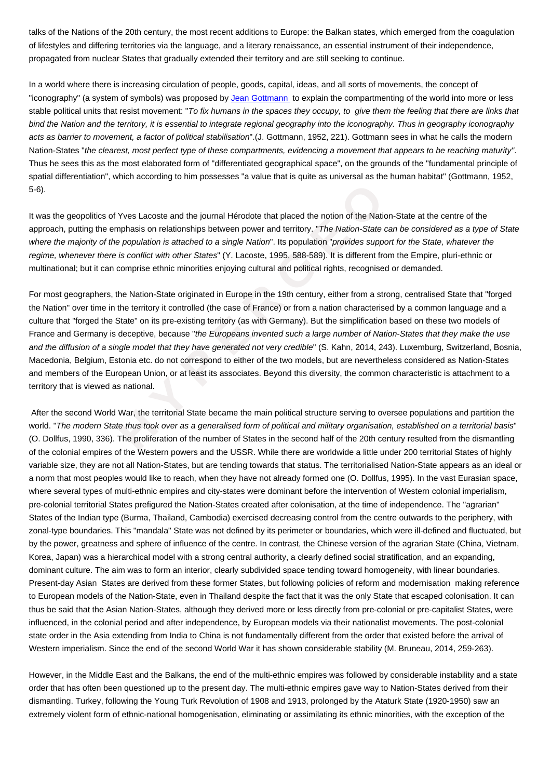of lifestyles and differing territories via the language, and a literary renaissance, an essential instrument of their independence, propagated from nuclear States that gradually extended their territory and are still seeking to continue.

In a world where there is increasing circulation of people, goods, capital, ideas, and all sorts of movements, the concept of "iconography" (a system of symbols) was proposed by Jean Gottmann to explain the compartmenting of the world into more or less stable political units that resist movement: "To fix humans in the spaces they occupy, to give them the feeling that there are links that bind the Nation and the territory, it is essential to integrate regional geography into the iconography. Thus in geography iconography acts as barrier to movement, a factor of political stabilisation".(J. Gottmann, 1952, 221). Gottmann sees in what he calls the modern Nation-States "the clearest, most perfect type of these [compartments, e](https://wiki.parisgeo.cnrs.fr/?p=629)videncing a movement that appears to be reaching maturity " . Thus he sees this as the most elaborated form of "differentiated geographical space", on the grounds of the "fundamental principle of spatial differentiation", which according to him possesses "a value that is quite as universal as the human habitat" (Gottmann, 1952, 5-6).

It was the geopolitics of Yves Lacoste and the journal Hérodote that placed the notion of the Nation-State at the centre of the approach, putting the emphasis on relationships between power and territory. "The Nation-State can be considered as a type of State where the majority of the population is attached to a single Nation". Its population "provides support for the State, whatever the regime, whenever there is conflict with other States" (Y. Lacoste, 1995, 588-589). It is different from the Empire, pluri-ethnic or multinational; but it can comprise ethnic minorities enjoying cultural and political rights, recognised or demanded.

titics of Yves Lacoste and the journal Hérodote that placed the notion of the Nation-<br>the emphasis on relationships between power and territory. *"The Nation-State can*<br>y of the population is attached to a single Nation". For most geographers, the Nation-State originated in Europe in the 19th century, either from a strong, centralised State that "forged the Nation" over time in the territory it controlled (the case of France) or from a nation characterised by a common language and a culture that "forged the State" on its pre-existing territory (as with Germany). But the simplification based on these two models of France and Germany is deceptive, because "the Europeans invented such a large number of Nation-States that they make the use and the diffusion of a single model that they have generated not very credible" (S. Kahn, 2014, 243). Luxemburg, Switzerland, Bosnia, Macedonia, Belgium, Estonia etc. do not correspond to either of the two models, but are nevertheless considered as Nation-States and members of the European Union, or at least its associates. Beyond this diversity, the common characteristic is attachment to a territory that is viewed as national.

 After the second World War, the territorial State became the main political structure serving to oversee populations and partition the world. "The modern State thus took over as a generalised form of political and military organisation, established on a territorial basis " (O. Dollfus, 1990, 336). The proliferation of the number of States in the second half of the 20th century resulted from the dismantling of the colonial empires of the Western powers and the USSR. While there are worldwide a little under 200 territorial States of highly variable size, they are not all Nation-States, but are tending towards that status. The territorialised Nation-State appears as an ideal or a norm that most peoples would like to reach, when they have not already formed one (O. Dollfus, 1995). In the vast Eurasian space, where several types of multi-ethnic empires and city-states were dominant before the intervention of Western colonial imperialism, pre-colonial territorial States prefigured the Nation-States created after colonisation, at the time of independence. The "agrarian" States of the Indian type (Burma, Thailand, Cambodia) exercised decreasing control from the centre outwards to the periphery, with zonal-type boundaries. This "mandala" State was not defined by its perimeter or boundaries, which were ill-defined and fluctuated, but by the power, greatness and sphere of influence of the centre. In contrast, the Chinese version of the agrarian State (China, Vietnam, Korea, Japan) was a hierarchical model with a strong central authority, a clearly defined social stratification, and an expanding, dominant culture. The aim was to form an interior, clearly subdivided space tending toward homogeneity, with linear boundaries. Present-day Asian States are derived from these former States, but following policies of reform and modernisation making reference to European models of the Nation-State, even in Thailand despite the fact that it was the only State that escaped colonisation. It can thus be said that the Asian Nation-States, although they derived more or less directly from pre-colonial or pre-capitalist States, were influenced, in the colonial period and after independence, by European models via their nationalist movements. The post-colonial state order in the Asia extending from India to China is not fundamentally different from the order that existed before the arrival of Western imperialism. Since the end of the second World War it has shown considerable stability (M. Bruneau, 2014, 259-263).

However, in the Middle East and the Balkans, the end of the multi-ethnic empires was followed by considerable instability and a state order that has often been questioned up to the present day. The multi-ethnic empires gave way to Nation-States derived from their dismantling. Turkey, following the Young Turk Revolution of 1908 and 1913, prolonged by the Ataturk State (1920-1950) saw an extremely violent form of ethnic-national homogenisation, eliminating or assimilating its ethnic minorities, with the exception of the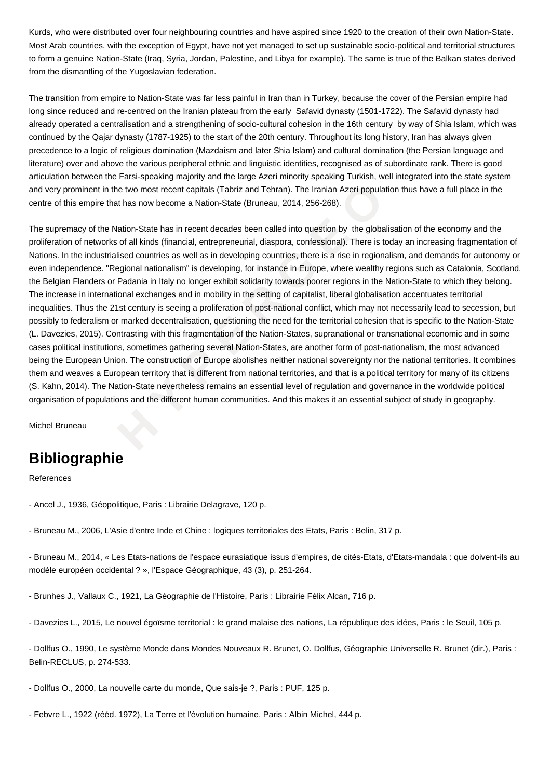Kurds, who were distributed over four neighbouring countries and have aspired since 1920 to the creation of their own Nation-State. Most Arab countries, with the exception of Egypt, have not yet managed to set up sustainable socio-political and territorial structures to form a genuine Nation-State (Iraq, Syria, Jordan, Palestine, and Libya for example). The same is true of the Balkan states derived from the dismantling of the Yugoslavian federation.

The transition from empire to Nation-State was far less painful in Iran than in Turkey, because the cover of the Persian empire had long since reduced and re-centred on the Iranian plateau from the early Safavid dynasty (1501-1722). The Safavid dynasty had already operated a centralisation and a strengthening of socio-cultural cohesion in the 16th century by way of Shia Islam, which was continued by the Qajar dynasty (1787-1925) to the start of the 20th century. Throughout its long history, Iran has always given precedence to a logic of religious domination (Mazdaism and later Shia Islam) and cultural domination (the Persian language and literature) over and above the various peripheral ethnic and linguistic identities, recognised as of subordinate rank. There is good articulation between the Farsi-speaking majority and the large Azeri minority speaking Turkish, well integrated into the state system and very prominent in the two most recent capitals (Tabriz and Tehran). The Iranian Azeri population thus have a full place in the centre of this empire that has now become a Nation-State (Bruneau, 2014, 256-268).

nt in the two most recent capitals (Tabriz and Tehran). The Iranian Azeri population<br>pire that has now become a Nation-State (Bruneau, 2014, 256-268).<br>The Mation-State has in recent decades been called into question by the The supremacy of the Nation-State has in recent decades been called into question by the globalisation of the economy and the proliferation of networks of all kinds (financial, entrepreneurial, diaspora, confessional). There is today an increasing fragmentation of Nations. In the industrialised countries as well as in developing countries, there is a rise in regionalism, and demands for autonomy or even independence. "Regional nationalism" is developing, for instance in Europe, where wealthy regions such as Catalonia, Scotland, the Belgian Flanders or Padania in Italy no longer exhibit solidarity towards poorer regions in the Nation-State to which they belong. The increase in international exchanges and in mobility in the setting of capitalist, liberal globalisation accentuates territorial inequalities. Thus the 21st century is seeing a proliferation of post-national conflict, which may not necessarily lead to secession, but possibly to federalism or marked decentralisation, questioning the need for the territorial cohesion that is specific to the Nation-State (L. Davezies, 2015). Contrasting with this fragmentation of the Nation-States, supranational or transnational economic and in some cases political institutions, sometimes gathering several Nation-States, are another form of post-nationalism, the most advanced being the European Union. The construction of Europe abolishes neither national sovereignty nor the national territories. It combines them and weaves a European territory that is different from national territories, and that is a political territory for many of its citizens (S. Kahn, 2014). The Nation-State nevertheless remains an essential level of regulation and governance in the worldwide political organisation of populations and the different human communities. And this makes it an essential subject of study in geography.

Michel Bruneau

## **Bibliographie**

References

- Ancel J., 1936, Géopolitique, Paris : Librairie Delagrave, 120 p.
- Bruneau M., 2006, L'Asie d'entre Inde et Chine : logiques territoriales des Etats, Paris : Belin, 317 p.

- Bruneau M., 2014, « Les Etats-nations de l'espace eurasiatique issus d'empires, de cités-Etats, d'Etats-mandala : que doivent-ils au modèle européen occidental ? », l'Espace Géographique, 43 (3), p. 251-264.

- Brunhes J., Vallaux C., 1921, La Géographie de l'Histoire, Paris : Librairie Félix Alcan, 716 p.

- Davezies L., 2015, Le nouvel égoïsme territorial : le grand malaise des nations, La république des idées, Paris : le Seuil, 105 p.

- Dollfus O., 1990, Le système Monde dans Mondes Nouveaux R. Brunet, O. Dollfus, Géographie Universelle R. Brunet (dir.), Paris : Belin-RECLUS, p. 274-533.

- Dollfus O., 2000, La nouvelle carte du monde, Que sais-je ?, Paris : PUF, 125 p.

- Febvre L., 1922 (rééd. 1972), La Terre et l'évolution humaine, Paris : Albin Michel, 444 p.